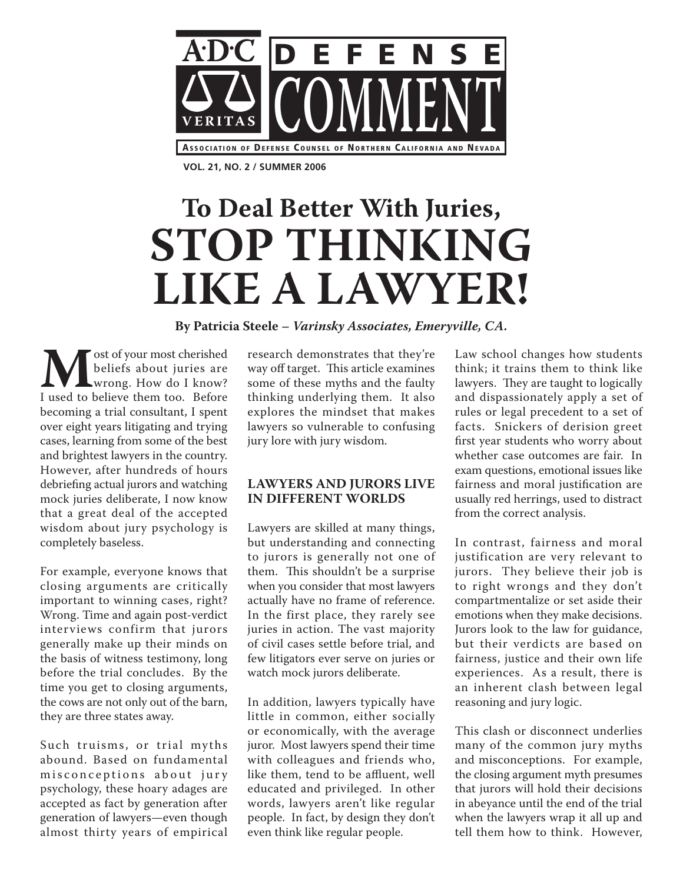

**VOL. 21, NO. 2 / SUMMER 2006**

# **To Deal Better With Juries, STOP THINKING LIKE A LAWYER!**

**By Patricia Steele – Varinsky Associates, Emeryville, CA.**

**M** ost of your most cherished<br>beliefs about juries are<br>I used to believe them too. Before beliefs about juries are wrong. How do I know? becoming a trial consultant, I spent over eight years litigating and trying cases, learning from some of the best and brightest lawyers in the country. However, after hundreds of hours debriefing actual jurors and watching mock juries deliberate, I now know that a great deal of the accepted wisdom about jury psychology is completely baseless.

For example, everyone knows that closing arguments are critically important to winning cases, right? Wrong. Time and again post-verdict interviews confirm that jurors generally make up their minds on the basis of witness testimony, long before the trial concludes. By the time you get to closing arguments, the cows are not only out of the barn, they are three states away.

Such truisms, or trial myths abound. Based on fundamental misconceptions about jury psychology, these hoary adages are accepted as fact by generation after generation of lawyers—even though almost thirty years of empirical

research demonstrates that they're way off target. This article examines some of these myths and the faulty thinking underlying them. It also explores the mindset that makes lawyers so vulnerable to confusing jury lore with jury wisdom.

## **LAWYERS AND JURORS LIVE IN DIFFERENT WORLDS**

Lawyers are skilled at many things, but understanding and connecting to jurors is generally not one of them. This shouldn't be a surprise when you consider that most lawyers actually have no frame of reference. In the first place, they rarely see juries in action. The vast majority of civil cases settle before trial, and few litigators ever serve on juries or watch mock jurors deliberate.

In addition, lawyers typically have little in common, either socially or economically, with the average juror. Most lawyers spend their time with colleagues and friends who, like them, tend to be affluent, well educated and privileged. In other words, lawyers aren't like regular people. In fact, by design they don't even think like regular people.

Law school changes how students think; it trains them to think like lawyers. They are taught to logically and dispassionately apply a set of rules or legal precedent to a set of facts. Snickers of derision greet first year students who worry about whether case outcomes are fair. In exam questions, emotional issues like fairness and moral justification are usually red herrings, used to distract from the correct analysis.

In contrast, fairness and moral justification are very relevant to jurors. They believe their job is to right wrongs and they don't compartmentalize or set aside their emotions when they make decisions. Jurors look to the law for guidance, but their verdicts are based on fairness, justice and their own life experiences. As a result, there is an inherent clash between legal reasoning and jury logic.

This clash or disconnect underlies many of the common jury myths and misconceptions. For example, the closing argument myth presumes that jurors will hold their decisions in abeyance until the end of the trial when the lawyers wrap it all up and tell them how to think. However,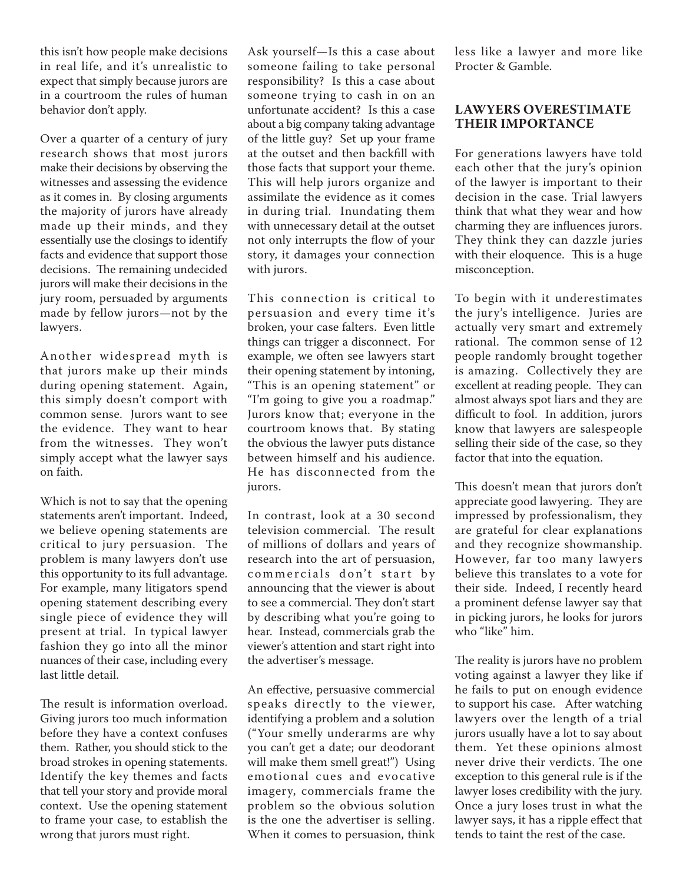this isn't how people make decisions in real life, and it's unrealistic to expect that simply because jurors are in a courtroom the rules of human behavior don't apply.

Over a quarter of a century of jury research shows that most jurors make their decisions by observing the witnesses and assessing the evidence as it comes in. By closing arguments the majority of jurors have already made up their minds, and they essentially use the closings to identify facts and evidence that support those decisions. The remaining undecided jurors will make their decisions in the jury room, persuaded by arguments made by fellow jurors—not by the lawyers.

Another widespread myth is that jurors make up their minds during opening statement. Again, this simply doesn't comport with common sense. Jurors want to see the evidence. They want to hear from the witnesses. They won't simply accept what the lawyer says on faith.

Which is not to say that the opening statements aren't important. Indeed, we believe opening statements are critical to jury persuasion. The problem is many lawyers don't use this opportunity to its full advantage. For example, many litigators spend opening statement describing every single piece of evidence they will present at trial. In typical lawyer fashion they go into all the minor nuances of their case, including every last little detail.

The result is information overload. Giving jurors too much information before they have a context confuses them. Rather, you should stick to the broad strokes in opening statements. Identify the key themes and facts that tell your story and provide moral context. Use the opening statement to frame your case, to establish the wrong that jurors must right.

Ask yourself—Is this a case about someone failing to take personal responsibility? Is this a case about someone trying to cash in on an unfortunate accident? Is this a case about a big company taking advantage of the little guy? Set up your frame at the outset and then backfill with those facts that support your theme. This will help jurors organize and assimilate the evidence as it comes in during trial. Inundating them with unnecessary detail at the outset not only interrupts the flow of your story, it damages your connection with jurors.

This connection is critical to persuasion and every time it's broken, your case falters. Even little things can trigger a disconnect. For example, we often see lawyers start their opening statement by intoning, "This is an opening statement" or "I'm going to give you a roadmap." Jurors know that; everyone in the courtroom knows that. By stating the obvious the lawyer puts distance between himself and his audience. He has disconnected from the jurors.

In contrast, look at a 30 second television commercial. The result of millions of dollars and years of research into the art of persuasion, commercials don't start by announcing that the viewer is about to see a commercial. They don't start by describing what you're going to hear. Instead, commercials grab the viewer's attention and start right into the advertiser's message.

An effective, persuasive commercial speaks directly to the viewer, identifying a problem and a solution ("Your smelly underarms are why you can't get a date; our deodorant will make them smell great!") Using emotional cues and evocative imagery, commercials frame the problem so the obvious solution is the one the advertiser is selling. When it comes to persuasion, think

less like a lawyer and more like Procter & Gamble.

#### **LAWYERS OVERESTIMATE THEIR IMPORTANCE**

For generations lawyers have told each other that the jury's opinion of the lawyer is important to their decision in the case. Trial lawyers think that what they wear and how charming they are influences jurors. They think they can dazzle juries with their eloquence. This is a huge misconception.

To begin with it underestimates the jury's intelligence. Juries are actually very smart and extremely rational. The common sense of 12 people randomly brought together is amazing. Collectively they are excellent at reading people. They can almost always spot liars and they are difficult to fool. In addition, jurors know that lawyers are salespeople selling their side of the case, so they factor that into the equation.

This doesn't mean that jurors don't appreciate good lawyering. They are impressed by professionalism, they are grateful for clear explanations and they recognize showmanship. However, far too many lawyers believe this translates to a vote for their side. Indeed, I recently heard a prominent defense lawyer say that in picking jurors, he looks for jurors who "like" him.

The reality is jurors have no problem voting against a lawyer they like if he fails to put on enough evidence to support his case. After watching lawyers over the length of a trial jurors usually have a lot to say about them. Yet these opinions almost never drive their verdicts. The one exception to this general rule is if the lawyer loses credibility with the jury. Once a jury loses trust in what the lawyer says, it has a ripple effect that tends to taint the rest of the case.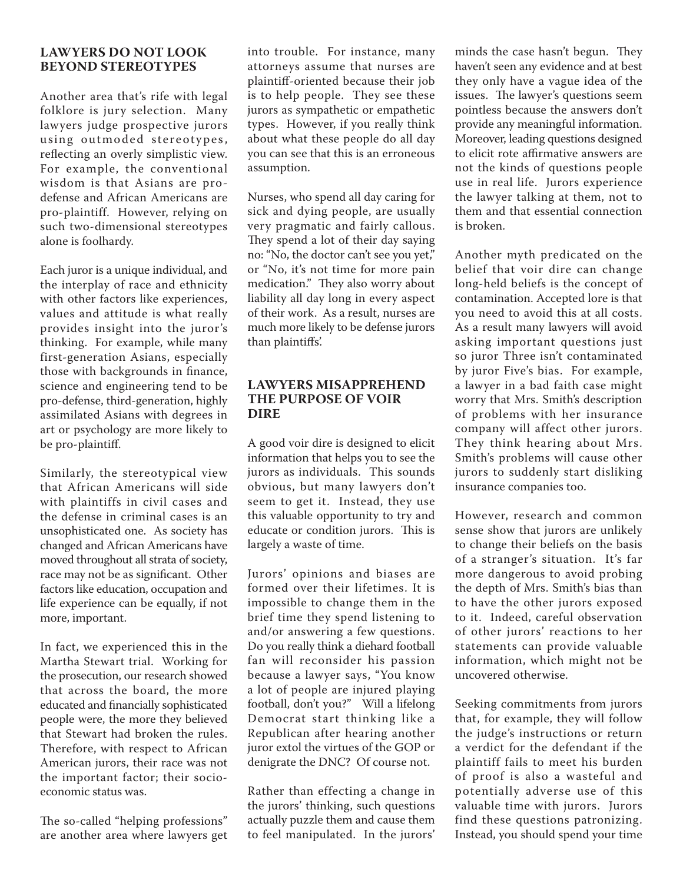## **LAWYERS DO NOT LOOK BEYOND STEREOTYPES**

Another area that's rife with legal folklore is jury selection. Many lawyers judge prospective jurors using outmoded stereotypes, reflecting an overly simplistic view. For example, the conventional wisdom is that Asians are prodefense and African Americans are pro-plaintiff. However, relying on such two-dimensional stereotypes alone is foolhardy.

Each juror is a unique individual, and the interplay of race and ethnicity with other factors like experiences, values and attitude is what really provides insight into the juror's thinking. For example, while many first-generation Asians, especially those with backgrounds in finance, science and engineering tend to be pro-defense, third-generation, highly assimilated Asians with degrees in art or psychology are more likely to be pro-plaintiff.

Similarly, the stereotypical view that African Americans will side with plaintiffs in civil cases and the defense in criminal cases is an unsophisticated one. As society has changed and African Americans have moved throughout all strata of society, race may not be as significant. Other factors like education, occupation and life experience can be equally, if not more, important.

In fact, we experienced this in the Martha Stewart trial. Working for the prosecution, our research showed that across the board, the more educated and financially sophisticated people were, the more they believed that Stewart had broken the rules. Therefore, with respect to African American jurors, their race was not the important factor; their socioeconomic status was.

The so-called "helping professions" are another area where lawyers get into trouble. For instance, many attorneys assume that nurses are plaintiff-oriented because their job is to help people. They see these jurors as sympathetic or empathetic types. However, if you really think about what these people do all day you can see that this is an erroneous assumption.

Nurses, who spend all day caring for sick and dying people, are usually very pragmatic and fairly callous. They spend a lot of their day saying no: "No, the doctor can't see you yet," or "No, it's not time for more pain medication." They also worry about liability all day long in every aspect of their work. As a result, nurses are much more likely to be defense jurors than plaintiffs'.

## **LAWYERS MISAPPREHEND THE PURPOSE OF VOIR DIRE**

A good voir dire is designed to elicit information that helps you to see the jurors as individuals. This sounds obvious, but many lawyers don't seem to get it. Instead, they use this valuable opportunity to try and educate or condition jurors. This is largely a waste of time.

Jurors' opinions and biases are formed over their lifetimes. It is impossible to change them in the brief time they spend listening to and/or answering a few questions. Do you really think a diehard football fan will reconsider his passion because a lawyer says, "You know a lot of people are injured playing football, don't you?" Will a lifelong Democrat start thinking like a Republican after hearing another juror extol the virtues of the GOP or denigrate the DNC? Of course not.

Rather than effecting a change in the jurors' thinking, such questions actually puzzle them and cause them to feel manipulated. In the jurors' minds the case hasn't begun. They haven't seen any evidence and at best they only have a vague idea of the issues. The lawyer's questions seem pointless because the answers don't provide any meaningful information. Moreover, leading questions designed to elicit rote affirmative answers are not the kinds of questions people use in real life. Jurors experience the lawyer talking at them, not to them and that essential connection is broken.

Another myth predicated on the belief that voir dire can change long-held beliefs is the concept of contamination. Accepted lore is that you need to avoid this at all costs. As a result many lawyers will avoid asking important questions just so juror Three isn't contaminated by juror Five's bias. For example, a lawyer in a bad faith case might worry that Mrs. Smith's description of problems with her insurance company will affect other jurors. They think hearing about Mrs. Smith's problems will cause other jurors to suddenly start disliking insurance companies too.

However, research and common sense show that jurors are unlikely to change their beliefs on the basis of a stranger's situation. It's far more dangerous to avoid probing the depth of Mrs. Smith's bias than to have the other jurors exposed to it. Indeed, careful observation of other jurors' reactions to her statements can provide valuable information, which might not be uncovered otherwise.

Seeking commitments from jurors that, for example, they will follow the judge's instructions or return a verdict for the defendant if the plaintiff fails to meet his burden of proof is also a wasteful and potentially adverse use of this valuable time with jurors. Jurors find these questions patronizing. Instead, you should spend your time